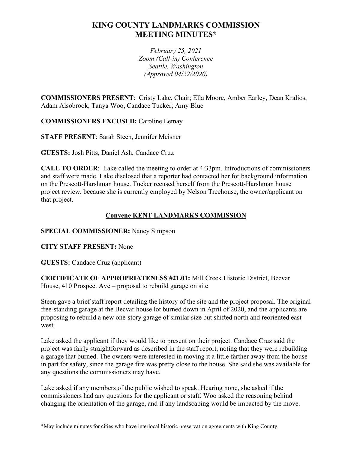# **KING COUNTY LANDMARKS COMMISSION MEETING MINUTES\***

*February 25, 2021 Zoom (Call-in) Conference Seattle, Washington (Approved 04/22/2020)*

**COMMISSIONERS PRESENT**: Cristy Lake, Chair; Ella Moore, Amber Earley, Dean Kralios, Adam Alsobrook, Tanya Woo, Candace Tucker; Amy Blue

**COMMISSIONERS EXCUSED:** Caroline Lemay

**STAFF PRESENT**: Sarah Steen, Jennifer Meisner

**GUESTS:** Josh Pitts, Daniel Ash, Candace Cruz

**CALL TO ORDER**: Lake called the meeting to order at 4:33pm. Introductions of commissioners and staff were made. Lake disclosed that a reporter had contacted her for background information on the Prescott-Harshman house. Tucker recused herself from the Prescott-Harshman house project review, because she is currently employed by Nelson Treehouse, the owner/applicant on that project.

### **Convene KENT LANDMARKS COMMISSION**

#### **SPECIAL COMMISSIONER:** Nancy Simpson

#### **CITY STAFF PRESENT:** None

**GUESTS:** Candace Cruz (applicant)

**CERTIFICATE OF APPROPRIATENESS #21.01:** Mill Creek Historic District, Becvar House, 410 Prospect Ave – proposal to rebuild garage on site

Steen gave a brief staff report detailing the history of the site and the project proposal. The original free-standing garage at the Becvar house lot burned down in April of 2020, and the applicants are proposing to rebuild a new one-story garage of similar size but shifted north and reoriented eastwest.

Lake asked the applicant if they would like to present on their project. Candace Cruz said the project was fairly straightforward as described in the staff report, noting that they were rebuilding a garage that burned. The owners were interested in moving it a little farther away from the house in part for safety, since the garage fire was pretty close to the house. She said she was available for any questions the commissioners may have.

Lake asked if any members of the public wished to speak. Hearing none, she asked if the commissioners had any questions for the applicant or staff. Woo asked the reasoning behind changing the orientation of the garage, and if any landscaping would be impacted by the move.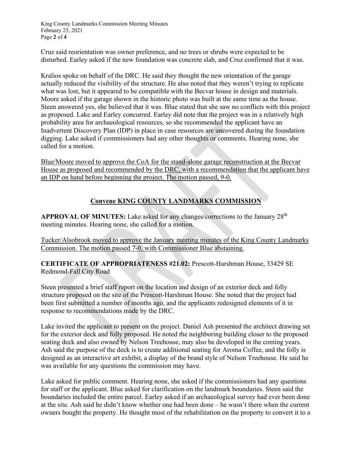King County Landmarks Commission Meeting Minutes February 25, 2021 Page **2** of **4**

Cruz said reorientation was owner preference, and no trees or shrubs were expected to be disturbed. Earley asked if the new foundation was concrete slab, and Cruz confirmed that it was.

Kralios spoke on behalf of the DRC. He said they thought the new orientation of the garage actually reduced the visibility of the structure. He also noted that they weren't trying to replicate what was lost, but it appeared to be compatible with the Becvar house in design and materials. Moore asked if the garage shown in the historic photo was built at the same time as the house. Steen answered yes, she believed that it was. Blue stated that she saw no conflicts with this project as proposed. Lake and Earley concurred. Earley did note that the project was in a relatively high probability area for archaeological resources, so she recommended the applicant have an Inadvertent Discovery Plan (IDP) in place in case resources are uncovered during the foundation digging. Lake asked if commissioners had any other thoughts or comments. Hearing none, she called for a motion.

Blue/Moore moved to approve the CoA for the stand-alone garage reconstruction at the Becvar House as proposed and recommended by the DRC, with a recommendation that the applicant have an IDP on hand before beginning the project. The motion passed, 9-0.

# **Convene KING COUNTY LANDMARKS COMMISSION**

**APPROVAL OF MINUTES:** Lake asked for any changes/corrections to the January 28th meeting minutes. Hearing none, she called for a motion.

Tucker/Alsobrook moved to approve the January meeting minutes of the King County Landmarks Commission. The motion passed 7-0, with Commissioner Blue abstaining.

**CERTIFICATE OF APPROPRIATENESS #21.02:** Prescott-Harshman House, 33429 SE Redmond-Fall City Road

Steen presented a brief staff report on the location and design of an exterior deck and folly structure proposed on the site of the Prescott-Harshman House. She noted that the project had been first submitted a number of months ago, and the applicants redesigned elements of it in response to recommendations made by the DRC.

Lake invited the applicant to present on the project. Daniel Ash presented the architect drawing set for the exterior deck and folly proposed. He noted the neighboring building closer to the proposed seating deck and also owned by Nelson Treehouse, may also be developed in the coming years. Ash said the purpose of the deck is to create additional seating for Aroma Coffee, and the folly is designed as an interactive art exhibit, a display of the brand style of Nelson Treehouse. He said he was available for any questions the commission may have.

Lake asked for public comment. Hearing none, she asked if the commissioners had any questions for staff or the applicant. Blue asked for clarification on the landmark boundaries. Steen said the boundaries included the entire parcel. Earley asked if an archaeological survey had ever been done at the site. Ash said he didn't know whether one had been done – he wasn't there when the current owners bought the property. He thought most of the rehabilitation on the property to convert it to a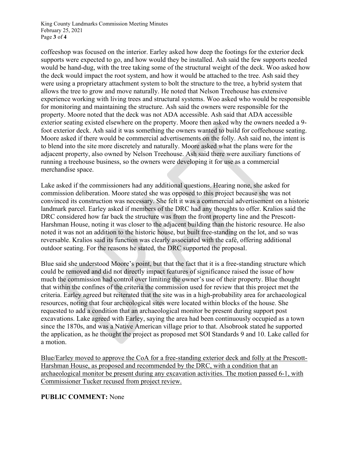King County Landmarks Commission Meeting Minutes February 25, 2021 Page **3** of **4**

coffeeshop was focused on the interior. Earley asked how deep the footings for the exterior deck supports were expected to go, and how would they be installed. Ash said the few supports needed would be hand-dug, with the tree taking some of the structural weight of the deck. Woo asked how the deck would impact the root system, and how it would be attached to the tree. Ash said they were using a proprietary attachment system to bolt the structure to the tree, a hybrid system that allows the tree to grow and move naturally. He noted that Nelson Treehouse has extensive experience working with living trees and structural systems. Woo asked who would be responsible for monitoring and maintaining the structure. Ash said the owners were responsible for the property. Moore noted that the deck was not ADA accessible. Ash said that ADA accessible exterior seating existed elsewhere on the property. Moore then asked why the owners needed a 9 foot exterior deck. Ash said it was something the owners wanted to build for coffeehouse seating. Moore asked if there would be commercial advertisements on the folly. Ash said no, the intent is to blend into the site more discretely and naturally. Moore asked what the plans were for the adjacent property, also owned by Nelson Treehouse. Ash said there were auxiliary functions of running a treehouse business, so the owners were developing it for use as a commercial merchandise space.

Lake asked if the commissioners had any additional questions. Hearing none, she asked for commission deliberation. Moore stated she was opposed to this project because she was not convinced its construction was necessary. She felt it was a commercial advertisement on a historic landmark parcel. Earley asked if members of the DRC had any thoughts to offer. Kralios said the DRC considered how far back the structure was from the front property line and the Prescott-Harshman House, noting it was closer to the adjacent building than the historic resource. He also noted it was not an addition to the historic house, but built free-standing on the lot, and so was reversable. Kralios said its function was clearly associated with the café, offering additional outdoor seating. For the reasons he stated, the DRC supported the proposal.

Blue said she understood Moore's point, but that the fact that it is a free-standing structure which could be removed and did not directly impact features of significance raised the issue of how much the commission had control over limiting the owner's use of their property. Blue thought that within the confines of the criteria the commission used for review that this project met the criteria. Earley agreed but reiterated that the site was in a high-probability area for archaeological resources, noting that four archeological sites were located within blocks of the house. She requested to add a condition that an archaeological monitor be present during support post excavations. Lake agreed with Earley, saying the area had been continuously occupied as a town since the 1870s, and was a Native American village prior to that. Alsobrook stated he supported the application, as he thought the project as proposed met SOI Standards 9 and 10. Lake called for a motion.

Blue/Earley moved to approve the CoA for a free-standing exterior deck and folly at the Prescott-Harshman House, as proposed and recommended by the DRC, with a condition that an archaeological monitor be present during any excavation activities. The motion passed 6-1, with Commissioner Tucker recused from project review.

**PUBLIC COMMENT:** None